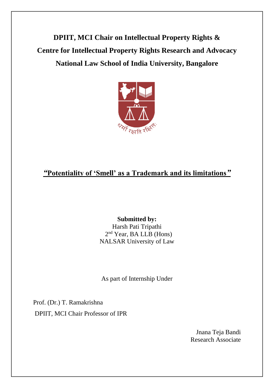**DPIIT, MCI Chair on Intellectual Property Rights & Centre for Intellectual Property Rights Research and Advocacy National Law School of India University, Bangalore**



# *"***Potentiality of 'Smell' as a Trademark and its limitations***"*

## **Submitted by:** Harsh Pati Tripathi 2<sup>nd</sup> Year, BA LLB (Hons) NALSAR University of Law

As part of Internship Under

Prof. (Dr.) T. Ramakrishna DPIIT, MCI Chair Professor of IPR

> Jnana Teja Bandi Research Associate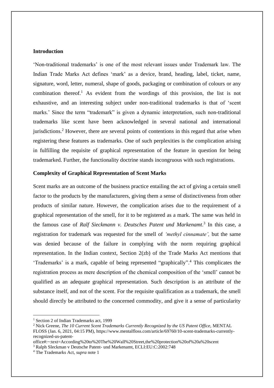#### **Introduction**

'Non-traditional trademarks' is one of the most relevant issues under Trademark law. The Indian Trade Marks Act defines 'mark' as a device, brand, heading, label, ticket, name, signature, word, letter, numeral, shape of goods, packaging or combination of colours or any combination thereof.<sup>1</sup> As evident from the wordings of this provision, the list is not exhaustive, and an interesting subject under non-traditional trademarks is that of 'scent marks.' Since the term "trademark" is given a dynamic interpretation, such non-traditional trademarks like scent have been acknowledged in several national and international jurisdictions.<sup>2</sup> However, there are several points of contentions in this regard that arise when registering these features as trademarks. One of such perplexities is the complication arising in fulfilling the requisite of graphical representation of the feature in question for being trademarked. Further, the functionality doctrine stands incongruous with such registrations.

#### **Complexity of Graphical Representation of Scent Marks**

Scent marks are an outcome of the business practice entailing the act of giving a certain smell factor to the products by the manufacturers, giving them a sense of distinctiveness from other products of similar nature. However, the complication arises due to the requirement of a graphical representation of the smell, for it to be registered as a mark. The same was held in the famous case of *Ralf Sieckmann v. Deutsches Patent und [Markenamt](http://curia.europa.eu/juris/showPdf.jsf?docid=47585&doclang=EN)*. 3 In this case, a registration for trademark was requested for the smell of *'methyl cinnamate',* but the same was denied because of the failure in complying with the norm requiring graphical representation. In the Indian context, Section 2(zb) of the Trade Marks Act mentions that 'Trademarks' is a mark, capable of being represented "graphically".<sup>4</sup> This complicates the registration process as mere description of the chemical composition of the 'smell' cannot be qualified as an adequate graphical representation. Such description is an attribute of the substance itself, and not of the scent. For the requisite qualification as a trademark, the smell should directly be attributed to the concerned commodity, and give it a sense of particularity

<sup>&</sup>lt;sup>1</sup> Section 2 of Indian Trademarks act, 1999

<sup>&</sup>lt;sup>2</sup> Nick Greene, *The 10 Current Scent Trademarks Currently Recognized by the US Patent Office, MENTAL* FLOSS (Jan. 6, 2021, 04:15 PM), https://www.mentalfloss.com/article/69760/10-scent-trademarks-currentlyrecognized-us-patent-

office#:~:text=According%20to%20The%20Wall%20Street,the%20protection%20of%20a%20scent

<sup>3</sup> Ralph SIeckman v Deutsche Patent- und Markenamt, ECLI:EU:C:2002:748

<sup>4</sup> The Trademarks Act, *supra* note 1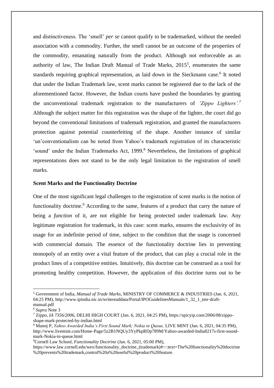and distinctiveness. The 'smell' *per se* cannot qualify to be trademarked, without the needed association with a commodity. Further, the smell cannot be an outcome of the properties of the commodity, emanating naturally from the product. Although not enforceable as an authority of law, The Indian Draft Manual of Trade Marks, 2015<sup>5</sup>, enumerates the same standards requiring graphical representation, as laid down in the Sieckmann case.<sup>6</sup> It noted that under the Indian Trademark law, scent marks cannot be registered due to the lack of the aforementioned factor. However, the Indian courts have pushed the boundaries by granting the unconventional trademark registration to the manufacturers of *'Zippo Lighters'.<sup>7</sup>* Although the subject matter for this registration was the shape of the lighter, the court did go beyond the conventional limitations of trademark registration, and granted the manufacturers protection against potential counterfeiting of the shape. Another instance of similar 'un'conventionalism can be noted from Yahoo's trademark registration of its characteristic 'sound' under the Indian Trademarks Act, 1999.<sup>8</sup> Nevertheless, the limitations of graphical representations does not stand to be the only legal limitation to the registration of smell marks.

#### **Scent Marks and the Functionality Doctrine**

One of the most significant legal challenges to the registration of scent marks is the notion of functionality doctrine.<sup>9</sup> According to the same, features of a product that carry the nature of being a *function* of it*,* are not eligible for being protected under trademark law. Any legitimate registration for trademark, in this case: scent marks, ensures the exclusivity of its usage for an indefinite period of time, subject to the condition that the usage is concerned with commercial domain. The essence of the functionality doctrine lies in preventing monopoly of an entity over a vital feature of the product, that can play a crucial role in the product lines of a competitive entities. Intuitively, this doctrine can be construed as a tool for promoting healthy competition. However, the application of this doctrine turns out to be

<sup>5</sup> Government of India, *Manual of Trade Marks,* MINISTRY OF COMMERCE & INDUSTRIES (Jan. 6, 2021, 04:25 PM), http://www.ipindia.nic.in/writereaddata/Portal/IPOGuidelinesManuals/1\_32\_1\_tmr-draftmanual.pdf

<sup>6</sup> *Supra* Note 3

<sup>7</sup> Zippo, *IA 7356/2006*, DELHI HIGH COURT (Jan. 6, 2021, 04:25 PM), https://spicyip.com/2006/08/zipposhape-mark-protected-by-indian.html

<sup>8</sup> Manoj P, *Yahoo Awarded India's First Sound Mark; Nokia in Queue,* LIVE MINT (Jan. 6, 2021, 04:35 PM), http://www.livemint.com/Home-Page/5z2B1NQUy3YyPkpRDp789M/Yahoo-awarded-India8217s-first-soundmark-Nokia-in-queue.html

<sup>9</sup>Cornell Law School, *Functionality Doctrine* (Jan. 6, 2021, 05:00 PM),

https://www.law.cornell.edu/wex/functionality\_doctrine\_(trademark)#:~:text=The%20functionality%20doctrine %20prevents%20trademark,control%20a%20useful%20product%20feature.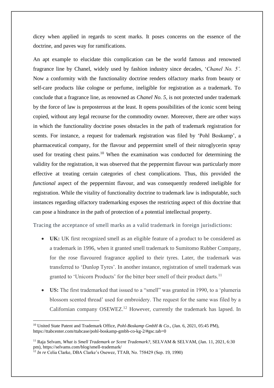dicey when applied in regards to scent marks. It poses concerns on the essence of the doctrine, and paves way for ramifications.

An apt example to elucidate this complication can be the world famous and renowned fragrance line by Chanel, widely used by fashion industry since decades, '*Chanel No. 5'.* Now a conformity with the functionality doctrine renders olfactory marks from beauty or self-care products like cologne or perfume, ineligible for registration as a trademark. To conclude that a fragrance line, as renowned as *Chanel No. 5,* is not protected under trademark by the force of law is preposterous at the least. It opens possibilities of the iconic scent being copied, without any legal recourse for the commodity owner. Moreover, there are other ways in which the functionality doctrine poses obstacles in the path of trademark registration for scents. For instance, a request for trademark registration was filed by 'Pohl Boskamp', a pharmaceutical company, for the flavour and peppermint smell of their nitroglycerin spray used for treating chest pains.<sup>10</sup> When the examination was conducted for determining the validity for the registration, it was observed that the peppermint flavour was particularly more effective at treating certain categories of chest complications. Thus, this provided the *functional* aspect of the peppermint flavour, and was consequently rendered ineligible for registration. While the vitality of functionality doctrine to trademark law is indisputable, such instances regarding olfactory trademarking exposes the restricting aspect of this doctrine that can pose a hindrance in the path of protection of a potential intellectual property.

Tracing the acceptance of smell marks as a valid trademark in foreign jurisdictions:

- **UK:** UK first recognized smell as an eligible feature of a product to be considered as a trademark in 1996, when it granted smell trademark to Sumitomo Rubber Company, for the rose flavoured fragrance applied to their tyres. Later, the trademark was transferred to 'Dunlop Tyres'. In another instance, registration of smell trademark was granted to 'Unicorn Products' for the bitter beer smell of their product darts.<sup>11</sup>
- **US:** The first trademarked that issued to a "smell" was granted in 1990, to a 'plumeria blossom scented thread' used for embroidery. The request for the same was filed by a Californian company OSEWEZ.<sup>12</sup> However, currently the trademark has lapsed. In

<sup>&</sup>lt;sup>10</sup> United State Patent and Trademark Office, *Pohl-Boskamp GmbH & Co.*, (Jan. 6, 2021, 05:45 PM), https://ttabcenter.com/ttabcase/pohl-boskamp-gmbh-co-kg-2/#gsc.tab=0

<sup>11</sup> Raja Selvam, *What is Smell Trademark or Scent Trademark?,* SELVAM & SELVAM, (Jan. 11, 2021, 6:30 pm), https://selvams.com/blog/smell-trademark/

<sup>12</sup> *In re* Celia Clarke, DBA Clarke's Osewez, TTAB, No. 758429 (Sep. 19, 1990)